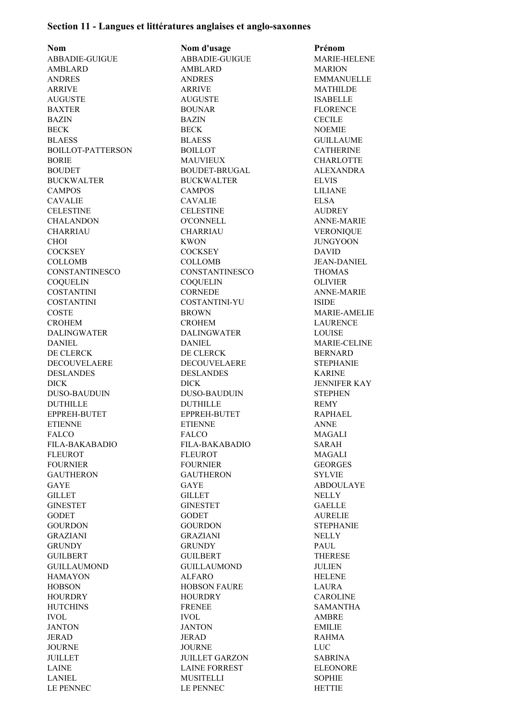## **Section 11 - Langues et littératures anglaises et anglo-saxonnes**

**Nom Nom d'usage Prénom** ABBADIE-GUIGUE ABBADIE-GUIGUE MARIE-HELENE AMBLARD AMBLARD MARION ANDRES ANDRES EMMANUELLE ARRIVE MATHILDE AUGUSTE AUGUSTE ISABELLE BAXTER BOUNAR FLORENCE BAZIN BAZIN CECILE BECK NOEMIE BLAESS BLAESS GUILLAUME BOILLOT-PATTERSON BOILLOT CATHERINE BORIE MAUVIEUX CHARLOTTE BOUDET BOUDET-BRUGAL ALEXANDRA BUCKWALTER BUCKWALTER ELVIS CAMPOS CAMPOS LILIANE CAVALIE CAVALIE ELSA CELESTINE CELESTINE AUDREY CHALANDON O'CONNELL ANNE-MARIE CHARRIAU CHARRIAU VERONIQUE CHOI KWON KWON JUNGYOON COCKSEY COCKSEY DAVID COLLOMB COLLOMB JEAN-DANIEL CONSTANTINESCO CONSTANTINESCO THOMAS COQUELIN COQUELIN OLIVIER COSTANTINI CORNEDE ANNE-MARIE COSTANTINI COSTANTINI-YU ISIDE COSTE BROWN MARIE-AMELIE CROHEM CROHEM LAURENCE DALINGWATER DALINGWATER LOUISE DANIEL DANIEL MARIE-CELINE DE CLERCK DE CLERCK BERNARD DECOUVELAERE DECOUVELAERE STEPHANIE DESLANDES DESLANDES KARINE DICK DICK JENNIFER KAY DUSO-BAUDUIN DUSO-BAUDUIN STEPHEN DUTHILLE DUTHILLE REMY EPPREH-BUTET EPPREH-BUTET RAPHAEL ETIENNE ETIENNE ANNE FALCO FALCO MAGALI FILA-BAKABADIO FILA-BAKABADIO SARAH FLEUROT FLEUROT MAGALI FOURNIER FOURNIER GEORGES GAUTHERON GAUTHERON SYLVIE GAYE GAYE GAYE ABDOULAYE GILLET NELLY GILLET GINESTET GINESTET GAELLE GODET GODET AURELIE GOURDON GOURDON STEPHANIE GRAZIANI GRAZIANI NELLY GRUNDY GRUNDY PAUL GUILBERT GUILBERT THERESE GUILLAUMOND GUILLAUMOND JULIEN HAMAYON ALFARO HELENE HOBSON HOBSON FAURE LAURA HOURDRY HOURDRY CAROLINE HUTCHINS FRENEE SAMANTHA IVOL IVOL AMBRE JANTON JANTON EMILIE JERAD JERAD RAHMA JOURNE JOURNE LUC JUILLET JUILLET GARZON SABRINA LAINE LAINE FORREST ELEONORE

LANIEL MUSITELLI SOPHIE LE PENNEC LE PENNEC HETTIE